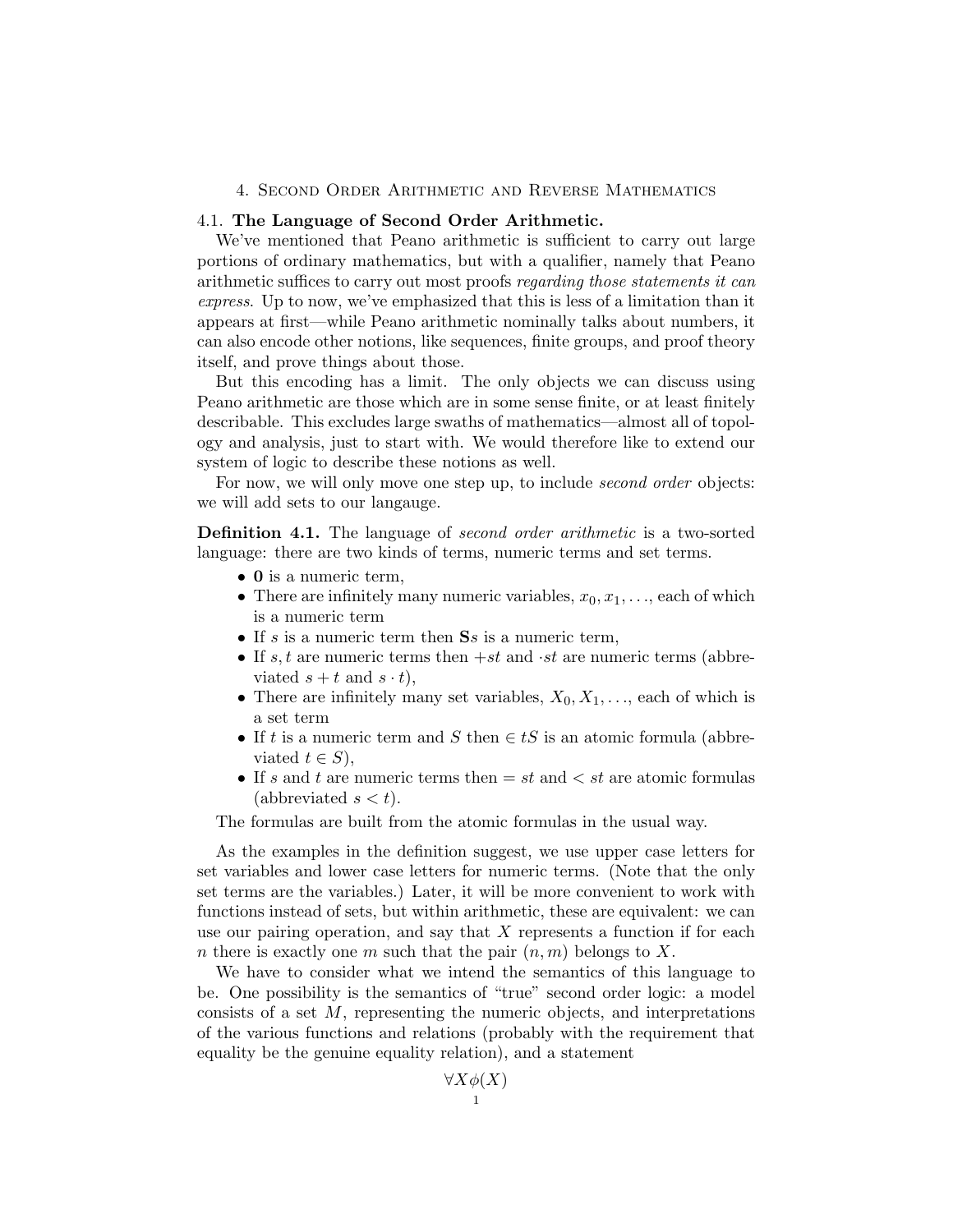## 4. Second Order Arithmetic and Reverse Mathematics

## 4.1. The Language of Second Order Arithmetic.

We've mentioned that Peano arithmetic is sufficient to carry out large portions of ordinary mathematics, but with a qualifier, namely that Peano arithmetic suffices to carry out most proofs regarding those statements it can express. Up to now, we've emphasized that this is less of a limitation than it appears at first—while Peano arithmetic nominally talks about numbers, it can also encode other notions, like sequences, finite groups, and proof theory itself, and prove things about those.

But this encoding has a limit. The only objects we can discuss using Peano arithmetic are those which are in some sense finite, or at least finitely describable. This excludes large swaths of mathematics—almost all of topology and analysis, just to start with. We would therefore like to extend our system of logic to describe these notions as well.

For now, we will only move one step up, to include *second order* objects: we will add sets to our langauge.

Definition 4.1. The language of second order arithmetic is a two-sorted language: there are two kinds of terms, numeric terms and set terms.

- 0 is a numeric term,
- There are infinitely many numeric variables,  $x_0, x_1, \ldots$ , each of which is a numeric term
- If s is a numeric term then  $\mathbf{S}s$  is a numeric term,
- If s, t are numeric terms then  $+st$  and  $\cdot st$  are numeric terms (abbreviated  $s + t$  and  $s \cdot t$ ,
- There are infinitely many set variables,  $X_0, X_1, \ldots$ , each of which is a set term
- If t is a numeric term and S then  $\in tS$  is an atomic formula (abbreviated  $t \in S$ ,
- If s and t are numeric terms then  $= st$  and  $< st$  are atomic formulas (abbreviated  $s < t$ ).

The formulas are built from the atomic formulas in the usual way.

As the examples in the definition suggest, we use upper case letters for set variables and lower case letters for numeric terms. (Note that the only set terms are the variables.) Later, it will be more convenient to work with functions instead of sets, but within arithmetic, these are equivalent: we can use our pairing operation, and say that  $X$  represents a function if for each n there is exactly one m such that the pair  $(n, m)$  belongs to X.

We have to consider what we intend the semantics of this language to be. One possibility is the semantics of "true" second order logic: a model consists of a set  $M$ , representing the numeric objects, and interpretations of the various functions and relations (probably with the requirement that equality be the genuine equality relation), and a statement

 $\forall X \phi(X)$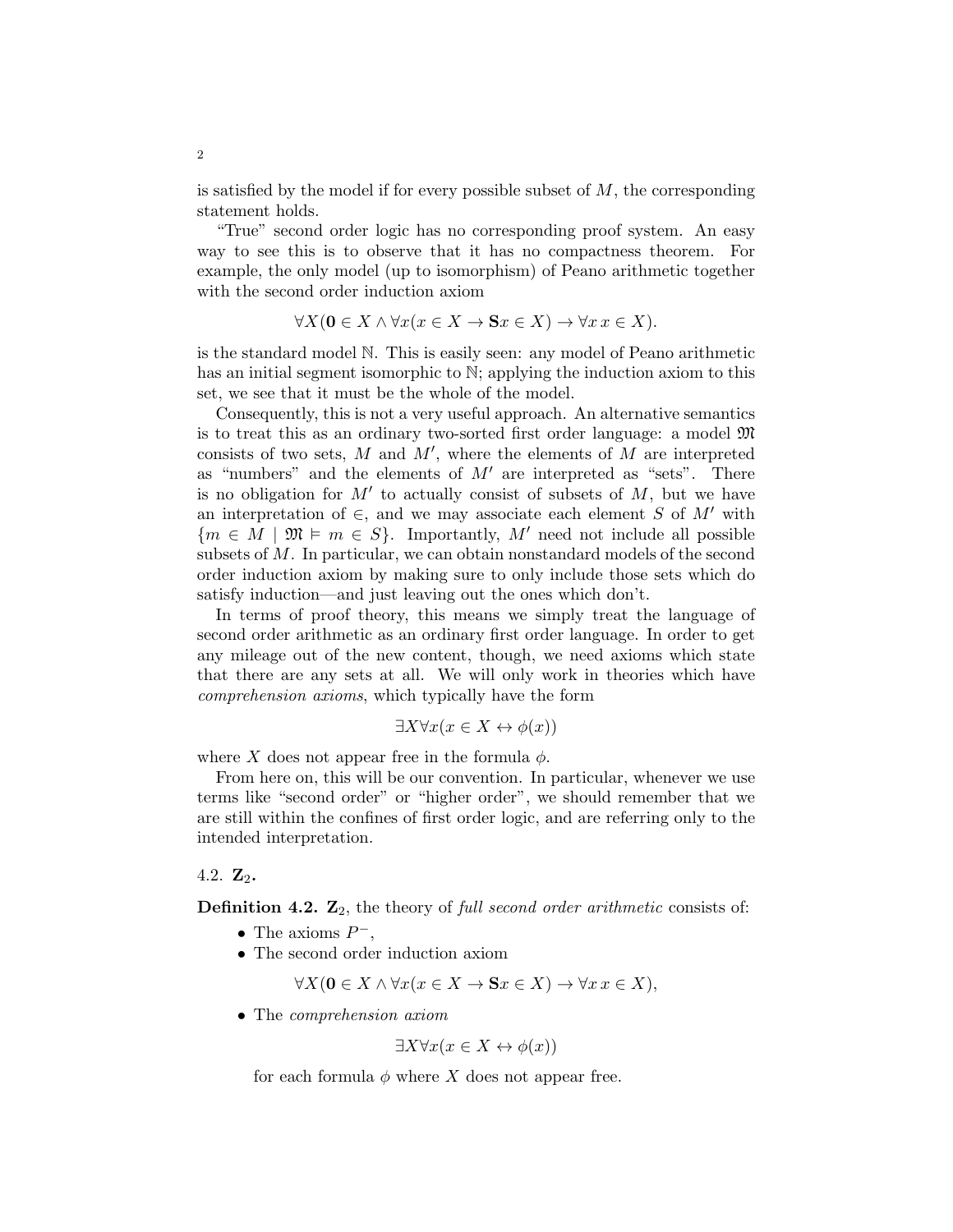is satisfied by the model if for every possible subset of  $M$ , the corresponding statement holds.

"True" second order logic has no corresponding proof system. An easy way to see this is to observe that it has no compactness theorem. For example, the only model (up to isomorphism) of Peano arithmetic together with the second order induction axiom

$$
\forall X (\mathbf{0} \in X \land \forall x (x \in X \to \mathbf{S}x \in X) \to \forall x \, x \in X).
$$

is the standard model N. This is easily seen: any model of Peano arithmetic has an initial segment isomorphic to  $\mathbb{N}$ ; applying the induction axiom to this set, we see that it must be the whole of the model.

Consequently, this is not a very useful approach. An alternative semantics is to treat this as an ordinary two-sorted first order language: a model  $\mathfrak{M}$ consists of two sets,  $M$  and  $M'$ , where the elements of  $M$  are interpreted as "numbers" and the elements of  $M'$  are interpreted as "sets". There is no obligation for  $M'$  to actually consist of subsets of  $M$ , but we have an interpretation of  $\in$ , and we may associate each element S of M' with  ${m \in M \mid \mathfrak{M} \models m \in S}.$  Importantly, M' need not include all possible subsets of M. In particular, we can obtain nonstandard models of the second order induction axiom by making sure to only include those sets which do satisfy induction—and just leaving out the ones which don't.

In terms of proof theory, this means we simply treat the language of second order arithmetic as an ordinary first order language. In order to get any mileage out of the new content, though, we need axioms which state that there are any sets at all. We will only work in theories which have comprehension axioms, which typically have the form

$$
\exists X \forall x (x \in X \leftrightarrow \phi(x))
$$

where X does not appear free in the formula  $\phi$ .

From here on, this will be our convention. In particular, whenever we use terms like "second order" or "higher order", we should remember that we are still within the confines of first order logic, and are referring only to the intended interpretation.

## 4.2.  $\mathbf{Z}_2$ .

**Definition 4.2.**  $\mathbf{Z}_2$ , the theory of full second order arithmetic consists of:

- The axioms  $P^-$ ,
- The second order induction axiom

$$
\forall X (\mathbf{0} \in X \land \forall x (x \in X \to \mathbf{S}x \in X) \to \forall x \, x \in X),
$$

• The comprehension axiom

$$
\exists X \forall x (x \in X \leftrightarrow \phi(x))
$$

for each formula  $\phi$  where X does not appear free.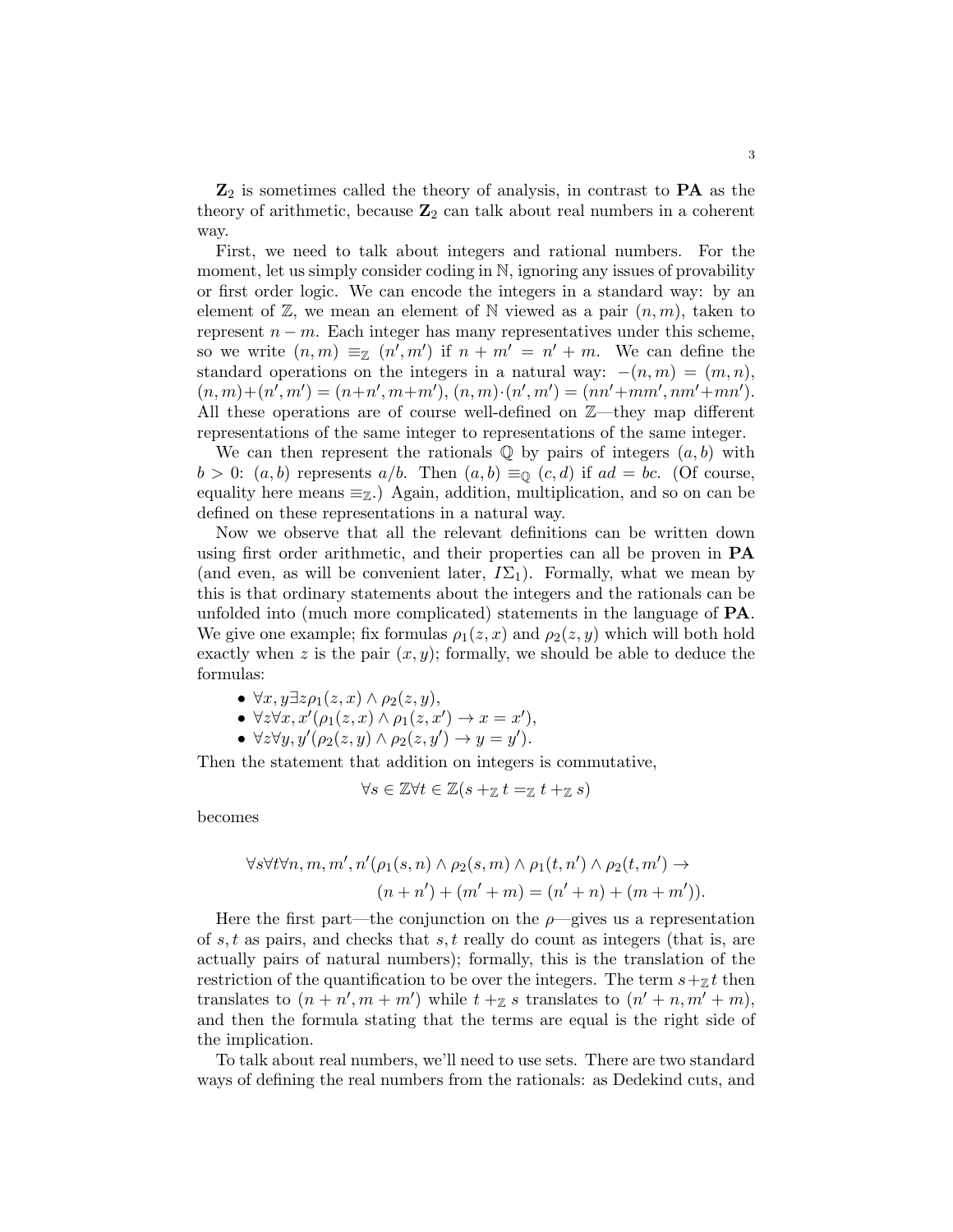$\mathbb{Z}_2$  is sometimes called the theory of analysis, in contrast to  $\mathbf{PA}$  as the theory of arithmetic, because  $\mathbb{Z}_2$  can talk about real numbers in a coherent way.

First, we need to talk about integers and rational numbers. For the moment, let us simply consider coding in N, ignoring any issues of provability or first order logic. We can encode the integers in a standard way: by an element of  $\mathbb{Z}$ , we mean an element of N viewed as a pair  $(n, m)$ , taken to represent  $n - m$ . Each integer has many representatives under this scheme, so we write  $(n,m) \equiv_{\mathbb{Z}} (n',m')$  if  $n+m' = n'+m$ . We can define the standard operations on the integers in a natural way:  $-(n, m) = (m, n)$ ,  $(n, m) + (n', m') = (n+n', m+m'), (n, m) \cdot (n', m') = (nn' + mm', nm' + mn').$ All these operations are of course well-defined on Z—they map different representations of the same integer to representations of the same integer.

We can then represent the rationals  $\mathbb Q$  by pairs of integers  $(a, b)$  with  $b > 0$ :  $(a, b)$  represents  $a/b$ . Then  $(a, b) \equiv_{\mathbb{Q}} (c, d)$  if  $ad = bc$ . (Of course, equality here means  $\equiv_{\mathbb{Z}}$ .) Again, addition, multiplication, and so on can be defined on these representations in a natural way.

Now we observe that all the relevant definitions can be written down using first order arithmetic, and their properties can all be proven in PA (and even, as will be convenient later,  $I\Sigma_1$ ). Formally, what we mean by this is that ordinary statements about the integers and the rationals can be unfolded into (much more complicated) statements in the language of PA. We give one example; fix formulas  $\rho_1(z, x)$  and  $\rho_2(z, y)$  which will both hold exactly when z is the pair  $(x, y)$ ; formally, we should be able to deduce the formulas:

- $\forall x, y \exists z \rho_1(z, x) \land \rho_2(z, y),$
- $\forall z \forall x, x' (\rho_1(z, x) \land \rho_1(z, x') \rightarrow x = x'),$
- $\forall z \forall y, y'(\rho_2(z, y) \land \rho_2(z, y') \rightarrow y = y').$

Then the statement that addition on integers is commutative,

$$
\forall s \in \mathbb{Z} \forall t \in \mathbb{Z} (s +_{\mathbb{Z}} t =_{\mathbb{Z}} t +_{\mathbb{Z}} s)
$$

becomes

$$
\forall s \forall t \forall n, m, m', n'(\rho_1(s, n) \land \rho_2(s, m) \land \rho_1(t, n') \land \rho_2(t, m') \rightarrow
$$

$$
(n + n') + (m' + m) = (n' + n) + (m + m')).
$$

Here the first part—the conjunction on the  $\rho$ —gives us a representation of s, t as pairs, and checks that s, t really do count as integers (that is, are actually pairs of natural numbers); formally, this is the translation of the restriction of the quantification to be over the integers. The term  $s+\gamma t$  then translates to  $(n + n', m + m')$  while  $t + z$  s translates to  $(n' + n, m' + m)$ , and then the formula stating that the terms are equal is the right side of the implication.

To talk about real numbers, we'll need to use sets. There are two standard ways of defining the real numbers from the rationals: as Dedekind cuts, and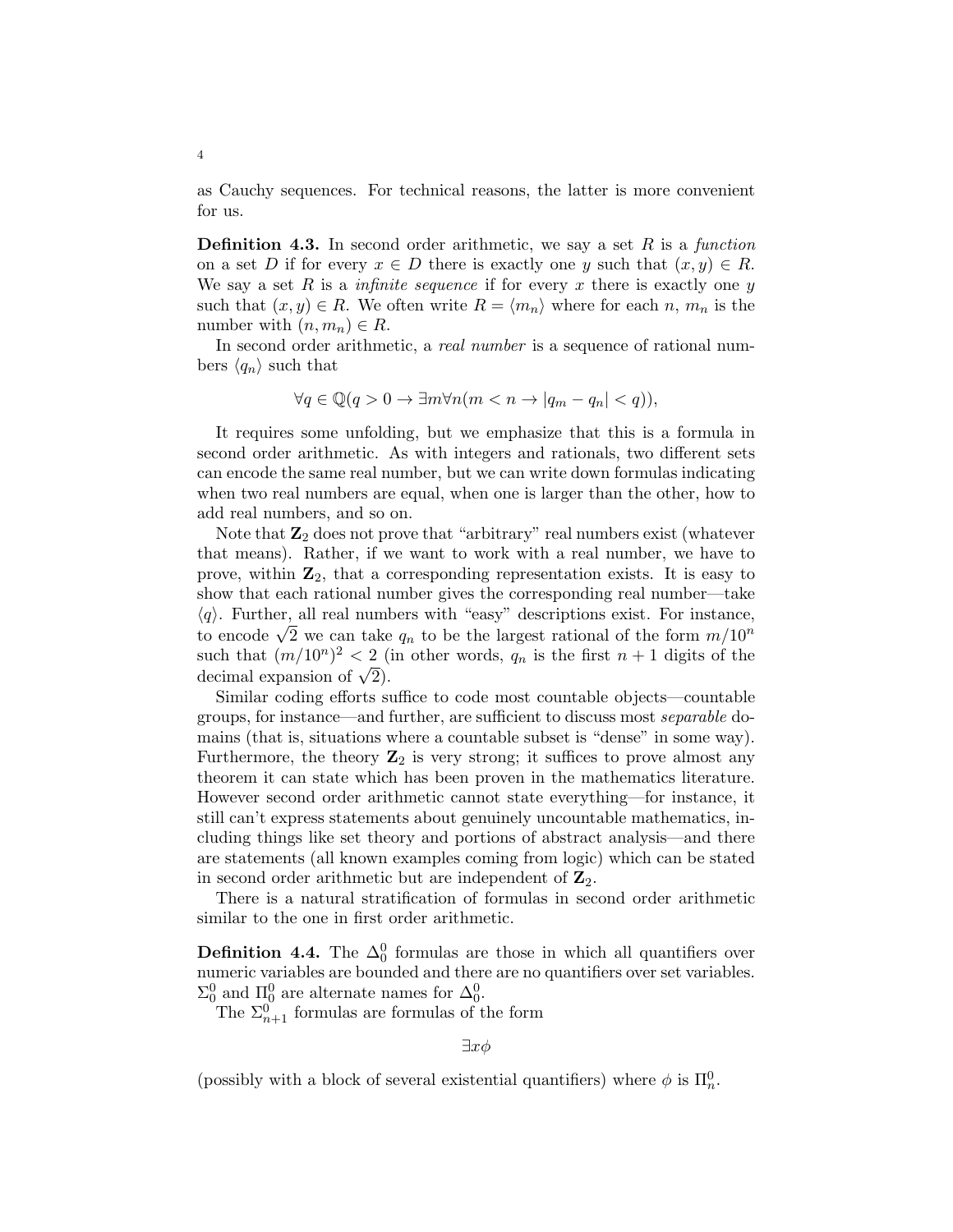as Cauchy sequences. For technical reasons, the latter is more convenient for us.

**Definition 4.3.** In second order arithmetic, we say a set  $R$  is a function on a set D if for every  $x \in D$  there is exactly one y such that  $(x, y) \in R$ . We say a set R is a *infinite sequence* if for every x there is exactly one y such that  $(x, y) \in R$ . We often write  $R = \langle m_n \rangle$  where for each n,  $m_n$  is the number with  $(n, m_n) \in R$ .

In second order arithmetic, a real number is a sequence of rational numbers  $\langle q_n \rangle$  such that

$$
\forall q \in \mathbb{Q}(q > 0 \to \exists m \forall n (m < n \to |q_m - q_n| < q)),
$$

It requires some unfolding, but we emphasize that this is a formula in second order arithmetic. As with integers and rationals, two different sets can encode the same real number, but we can write down formulas indicating when two real numbers are equal, when one is larger than the other, how to add real numbers, and so on.

Note that  $\mathbb{Z}_2$  does not prove that "arbitrary" real numbers exist (whatever that means). Rather, if we want to work with a real number, we have to prove, within  $\mathbb{Z}_2$ , that a corresponding representation exists. It is easy to show that each rational number gives the corresponding real number—take  $\langle q \rangle$ . Further, all real numbers with "easy" descriptions exist. For instance,  $\langle q \rangle$ . Further, an real numbers with easy descriptions exist. For instance, to encode  $\sqrt{2}$  we can take  $q_n$  to be the largest rational of the form  $m/10^n$ such that  $(m/10^n)^2 < 2$  (in other words,  $q_n$  is the first  $n+1$  digits of the such that  $(m/10^{\circ})^2 < 2$  (<br>decimal expansion of  $\sqrt{2}$ ).

Similar coding efforts suffice to code most countable objects—countable groups, for instance—and further, are sufficient to discuss most separable domains (that is, situations where a countable subset is "dense" in some way). Furthermore, the theory  $\mathbb{Z}_2$  is very strong; it suffices to prove almost any theorem it can state which has been proven in the mathematics literature. However second order arithmetic cannot state everything—for instance, it still can't express statements about genuinely uncountable mathematics, including things like set theory and portions of abstract analysis—and there are statements (all known examples coming from logic) which can be stated in second order arithmetic but are independent of  $\mathbb{Z}_2$ .

There is a natural stratification of formulas in second order arithmetic similar to the one in first order arithmetic.

**Definition 4.4.** The  $\Delta_0^0$  formulas are those in which all quantifiers over numeric variables are bounded and there are no quantifiers over set variables.  $\Sigma_0^0$  and  $\Pi_0^0$  are alternate names for  $\Delta_0^0$ .

The  $\Sigma_{n+1}^0$  formulas are formulas of the form

 $\exists x \phi$ 

(possibly with a block of several existential quantifiers) where  $\phi$  is  $\Pi_n^0$ .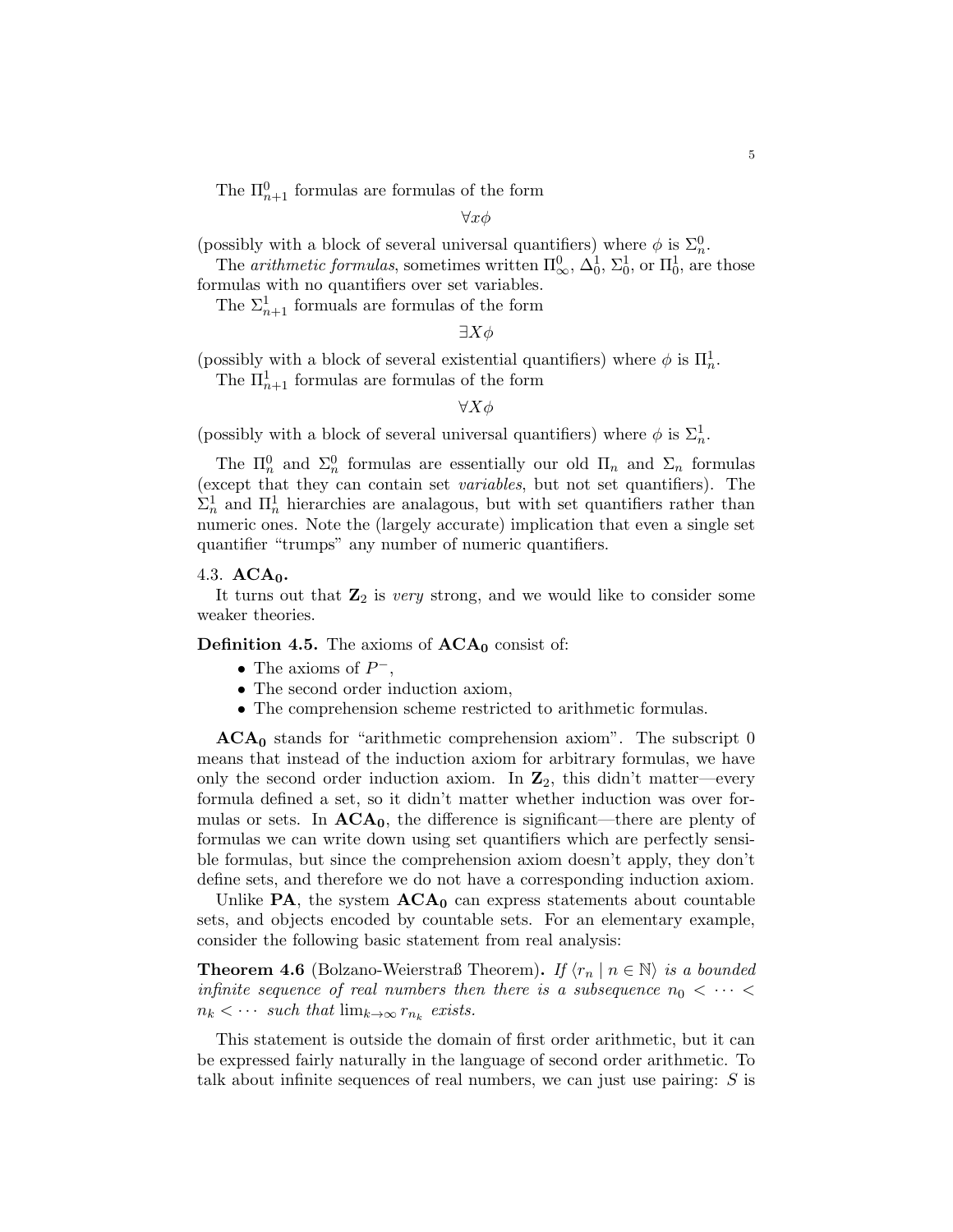The  $\Pi_{n+1}^0$  formulas are formulas of the form

 $\forall x \phi$ 

(possibly with a block of several universal quantifiers) where  $\phi$  is  $\Sigma_n^0$ .

The *arithmetic formulas*, sometimes written  $\Pi_{\infty}^{0}$ ,  $\Delta_{0}^{1}$ ,  $\Sigma_{0}^{1}$ , or  $\Pi_{0}^{1}$ , are those formulas with no quantifiers over set variables.

The  $\Sigma_{n+1}^1$  formuals are formulas of the form

 $\exists X \phi$ 

(possibly with a block of several existential quantifiers) where  $\phi$  is  $\Pi^1_n$ . The  $\prod_{n=1}^{1}$  formulas are formulas of the form

 $\forall X \phi$ 

(possibly with a block of several universal quantifiers) where  $\phi$  is  $\Sigma_n^1$ .

The  $\Pi_n^0$  and  $\Sigma_n^0$  formulas are essentially our old  $\Pi_n$  and  $\Sigma_n$  formulas (except that they can contain set variables, but not set quantifiers). The  $\Sigma_n^1$  and  $\Pi_n^1$  hierarchies are analagous, but with set quantifiers rather than numeric ones. Note the (largely accurate) implication that even a single set quantifier "trumps" any number of numeric quantifiers.

#### 4.3.  $ACA<sub>0</sub>$ .

It turns out that  $\mathbb{Z}_2$  is very strong, and we would like to consider some weaker theories.

**Definition 4.5.** The axioms of  $ACA_0$  consist of:

- The axioms of  $P^-$ ,
- The second order induction axiom,
- The comprehension scheme restricted to arithmetic formulas.

 $ACA<sub>0</sub>$  stands for "arithmetic comprehension axiom". The subscript 0 means that instead of the induction axiom for arbitrary formulas, we have only the second order induction axiom. In  $\mathbb{Z}_2$ , this didn't matter—every formula defined a set, so it didn't matter whether induction was over formulas or sets. In  $ACA_0$ , the difference is significant—there are plenty of formulas we can write down using set quantifiers which are perfectly sensible formulas, but since the comprehension axiom doesn't apply, they don't define sets, and therefore we do not have a corresponding induction axiom.

Unlike  $PA$ , the system  $ACA_0$  can express statements about countable sets, and objects encoded by countable sets. For an elementary example, consider the following basic statement from real analysis:

**Theorem 4.6** (Bolzano-Weierstraß Theorem). If  $\langle r_n | n \in \mathbb{N} \rangle$  is a bounded infinite sequence of real numbers then there is a subsequence  $n_0 < \cdots <$  $n_k < \cdots$  such that  $\lim_{k \to \infty} r_{n_k}$  exists.

This statement is outside the domain of first order arithmetic, but it can be expressed fairly naturally in the language of second order arithmetic. To talk about infinite sequences of real numbers, we can just use pairing:  $S$  is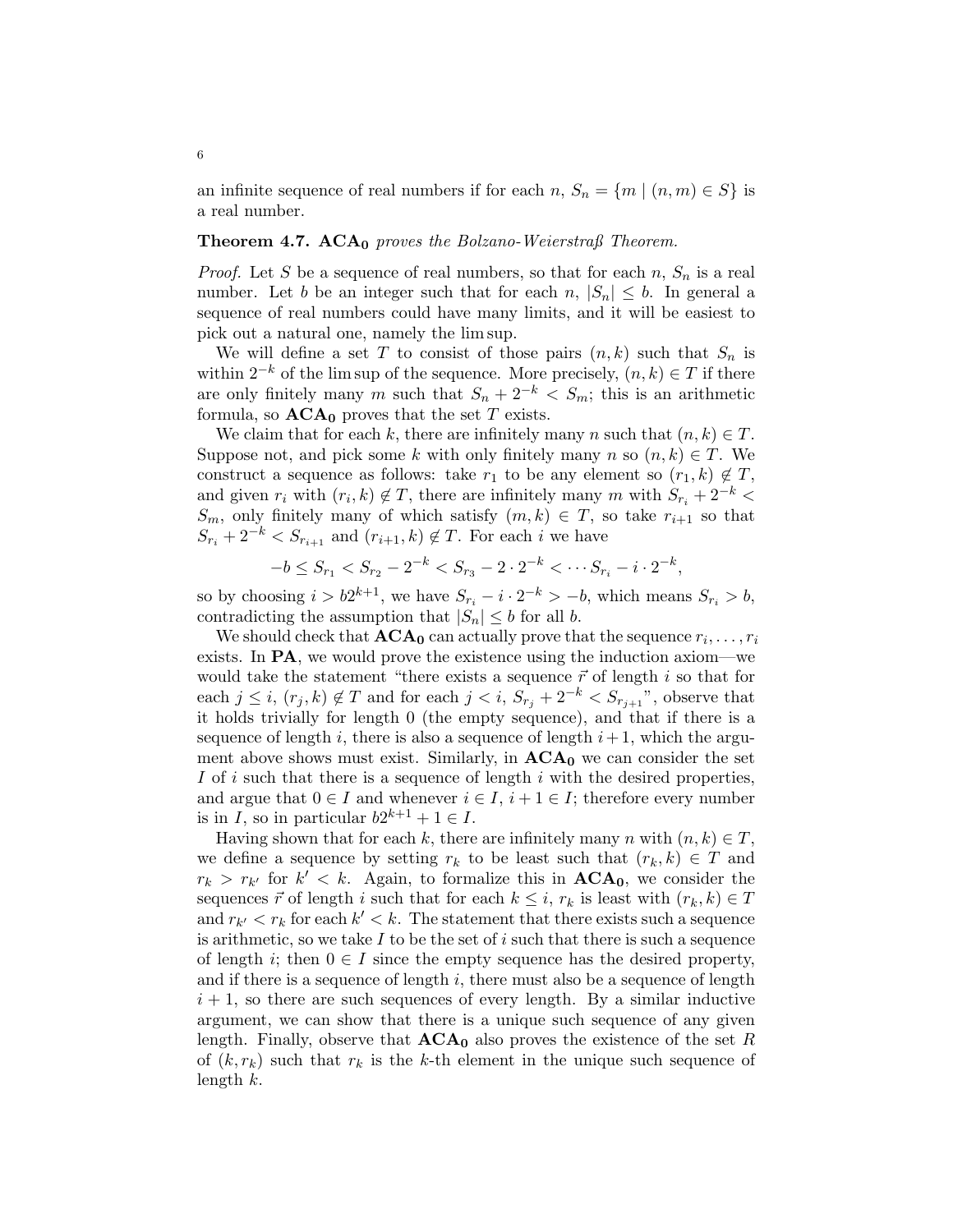an infinite sequence of real numbers if for each  $n, S_n = \{m \mid (n,m) \in S\}$  is a real number.

## **Theorem 4.7. ACA**<sup>0</sup> proves the Bolzano-Weierstraß Theorem.

*Proof.* Let S be a sequence of real numbers, so that for each  $n, S_n$  is a real number. Let b be an integer such that for each  $n, |S_n| \leq b$ . In general a sequence of real numbers could have many limits, and it will be easiest to pick out a natural one, namely the lim sup.

We will define a set T to consist of those pairs  $(n, k)$  such that  $S_n$  is within  $2^{-k}$  of the lim sup of the sequence. More precisely,  $(n, k) \in T$  if there are only finitely many m such that  $S_n + 2^{-k} < S_m$ ; this is an arithmetic formula, so  $\mathbf{ACA}_0$  proves that the set T exists.

We claim that for each k, there are infinitely many n such that  $(n, k) \in T$ . Suppose not, and pick some k with only finitely many n so  $(n, k) \in T$ . We construct a sequence as follows: take  $r_1$  to be any element so  $(r_1, k) \notin T$ , and given  $r_i$  with  $(r_i, k) \notin T$ , there are infinitely many m with  $S_{r_i} + 2^{-k}$  $S_m$ , only finitely many of which satisfy  $(m, k) \in T$ , so take  $r_{i+1}$  so that  $S_{r_i} + 2^{-k} < S_{r_{i+1}}$  and  $(r_{i+1}, k) \notin T$ . For each i we have

$$
-b \leq S_{r_1} < S_{r_2} - 2^{-k} < S_{r_3} - 2 \cdot 2^{-k} < \cdots S_{r_i} - i \cdot 2^{-k},
$$

so by choosing  $i > b2^{k+1}$ , we have  $S_{r_i} - i \cdot 2^{-k} > -b$ , which means  $S_{r_i} > b$ , contradicting the assumption that  $|S_n| \leq b$  for all b.

We should check that  $ACA_0$  can actually prove that the sequence  $r_i, \ldots, r_i$ exists. In PA, we would prove the existence using the induction axiom—we would take the statement "there exists a sequence  $\vec{r}$  of length i so that for each  $j \leq i$ ,  $(r_j, k) \notin T$  and for each  $j < i$ ,  $S_{r_j} + 2^{-k} < S_{r_{j+1}}$ ", observe that it holds trivially for length 0 (the empty sequence), and that if there is a sequence of length i, there is also a sequence of length  $i+1$ , which the argument above shows must exist. Similarly, in  $ACA_0$  we can consider the set I of i such that there is a sequence of length  $i$  with the desired properties, and argue that  $0 \in I$  and whenever  $i \in I$ ,  $i + 1 \in I$ ; therefore every number is in I, so in particular  $b2^{k+1} + 1 \in I$ .

Having shown that for each k, there are infinitely many n with  $(n, k) \in T$ , we define a sequence by setting  $r_k$  to be least such that  $(r_k, k) \in T$  and  $r_k > r_{k'}$  for  $k' < k$ . Again, to formalize this in  $ACA_0$ , we consider the sequences  $\vec{r}$  of length i such that for each  $k \leq i$ ,  $r_k$  is least with  $(r_k, k) \in T$ and  $r_{k'} < r_k$  for each  $k' < k$ . The statement that there exists such a sequence is arithmetic, so we take I to be the set of i such that there is such a sequence of length i; then  $0 \in I$  since the empty sequence has the desired property, and if there is a sequence of length  $i$ , there must also be a sequence of length  $i + 1$ , so there are such sequences of every length. By a similar inductive argument, we can show that there is a unique such sequence of any given length. Finally, observe that  $ACA_0$  also proves the existence of the set R of  $(k, r_k)$  such that  $r_k$  is the k-th element in the unique such sequence of length  $k$ .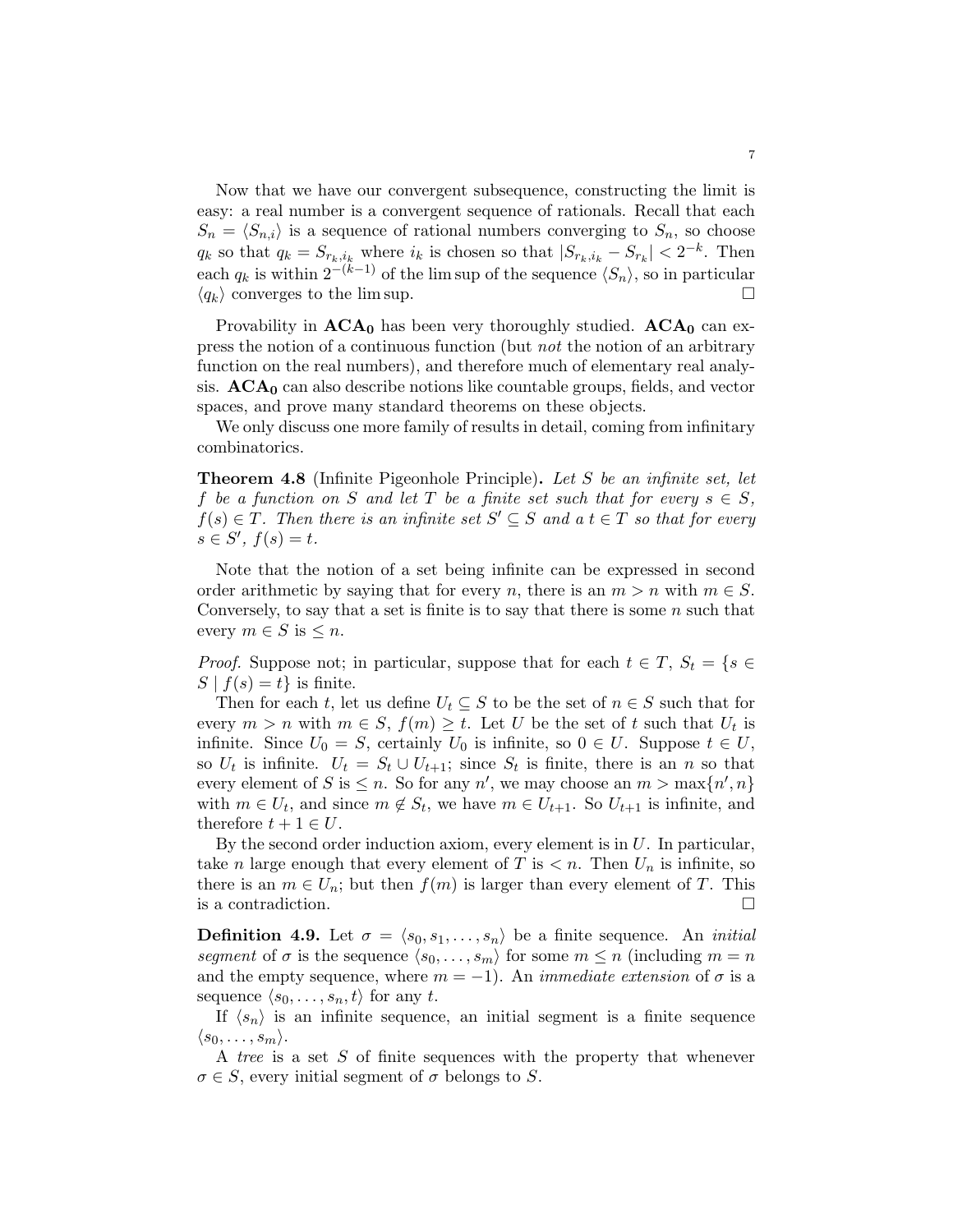Now that we have our convergent subsequence, constructing the limit is easy: a real number is a convergent sequence of rationals. Recall that each  $S_n = \langle S_{n,i} \rangle$  is a sequence of rational numbers converging to  $S_n$ , so choose  $q_k$  so that  $q_k = S_{r_k, i_k}$  where  $i_k$  is chosen so that  $|S_{r_k, i_k} - S_{r_k}| < 2^{-k}$ . Then each  $q_k$  is within  $2^{-(k-1)}$  of the lim sup of the sequence  $\langle S_n \rangle$ , so in particular  $\langle q_k \rangle$  converges to the lim sup.

Provability in  $ACA_0$  has been very thoroughly studied.  $ACA_0$  can express the notion of a continuous function (but not the notion of an arbitrary function on the real numbers), and therefore much of elementary real analysis.  $ACA<sub>0</sub>$  can also describe notions like countable groups, fields, and vector spaces, and prove many standard theorems on these objects.

We only discuss one more family of results in detail, coming from infinitary combinatorics.

Theorem 4.8 (Infinite Pigeonhole Principle). Let S be an infinite set, let f be a function on S and let T be a finite set such that for every  $s \in S$ ,  $f(s) \in T$ . Then there is an infinite set  $S' \subseteq S$  and  $a \ t \in T$  so that for every  $s \in S', f(s) = t.$ 

Note that the notion of a set being infinite can be expressed in second order arithmetic by saying that for every n, there is an  $m > n$  with  $m \in S$ . Conversely, to say that a set is finite is to say that there is some  $n$  such that every  $m \in S$  is  $\leq n$ .

*Proof.* Suppose not; in particular, suppose that for each  $t \in T$ ,  $S_t = \{s \in$  $S | f(s) = t$  is finite.

Then for each t, let us define  $U_t \subseteq S$  to be the set of  $n \in S$  such that for every  $m > n$  with  $m \in S$ ,  $f(m) \geq t$ . Let U be the set of t such that  $U_t$  is infinite. Since  $U_0 = S$ , certainly  $U_0$  is infinite, so  $0 \in U$ . Suppose  $t \in U$ , so  $U_t$  is infinite.  $U_t = S_t \cup U_{t+1}$ ; since  $S_t$  is finite, there is an n so that every element of S is  $\leq n$ . So for any n', we may choose an  $m > \max\{n', n\}$ with  $m \in U_t$ , and since  $m \notin S_t$ , we have  $m \in U_{t+1}$ . So  $U_{t+1}$  is infinite, and therefore  $t + 1 \in U$ .

By the second order induction axiom, every element is in  $U$ . In particular, take *n* large enough that every element of T is  $\lt n$ . Then  $U_n$  is infinite, so there is an  $m \in U_n$ ; but then  $f(m)$  is larger than every element of T. This is a contradiction.

**Definition 4.9.** Let  $\sigma = \langle s_0, s_1, \ldots, s_n \rangle$  be a finite sequence. An *initial* segment of  $\sigma$  is the sequence  $\langle s_0, \ldots, s_m \rangle$  for some  $m \leq n$  (including  $m = n$ and the empty sequence, where  $m = -1$ ). An *immediate extension* of  $\sigma$  is a sequence  $\langle s_0, \ldots, s_n, t \rangle$  for any t.

If  $\langle s_n \rangle$  is an infinite sequence, an initial segment is a finite sequence  $\langle s_0, \ldots, s_m \rangle$ .

A tree is a set S of finite sequences with the property that whenever  $\sigma \in S$ , every initial segment of  $\sigma$  belongs to S.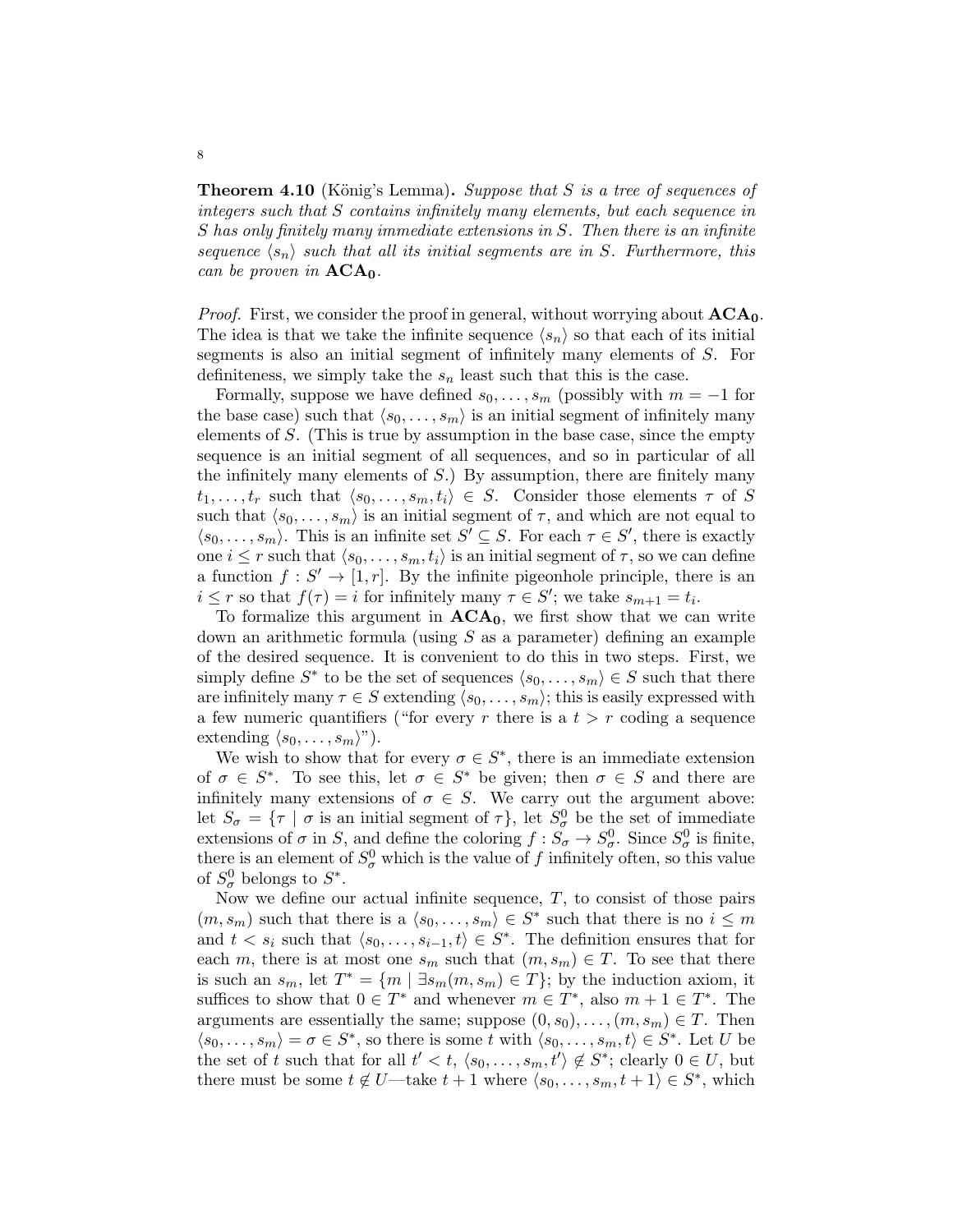**Theorem 4.10** (König's Lemma). Suppose that S is a tree of sequences of integers such that S contains infinitely many elements, but each sequence in S has only finitely many immediate extensions in S. Then there is an infinite sequence  $\langle s_n \rangle$  such that all its initial segments are in S. Furthermore, this can be proven in  $ACA<sub>0</sub>$ .

*Proof.* First, we consider the proof in general, without worrying about  $ACA_0$ . The idea is that we take the infinite sequence  $\langle s_n \rangle$  so that each of its initial segments is also an initial segment of infinitely many elements of S. For definiteness, we simply take the  $s_n$  least such that this is the case.

Formally, suppose we have defined  $s_0, \ldots, s_m$  (possibly with  $m = -1$  for the base case) such that  $\langle s_0, \ldots, s_m \rangle$  is an initial segment of infinitely many elements of S. (This is true by assumption in the base case, since the empty sequence is an initial segment of all sequences, and so in particular of all the infinitely many elements of  $S$ .) By assumption, there are finitely many  $t_1, \ldots, t_r$  such that  $\langle s_0, \ldots, s_m, t_i \rangle \in S$ . Consider those elements  $\tau$  of S such that  $\langle s_0, \ldots, s_m \rangle$  is an initial segment of  $\tau$ , and which are not equal to  $\langle s_0, \ldots, s_m \rangle$ . This is an infinite set  $S' \subseteq S$ . For each  $\tau \in S'$ , there is exactly one  $i \leq r$  such that  $\langle s_0, \ldots, s_m, t_i \rangle$  is an initial segment of  $\tau$ , so we can define a function  $f: S' \to [1, r]$ . By the infinite pigeonhole principle, there is an  $i \leq r$  so that  $f(\tau) = i$  for infinitely many  $\tau \in S'$ ; we take  $s_{m+1} = t_i$ .

To formalize this argument in  $ACA<sub>0</sub>$ , we first show that we can write down an arithmetic formula (using  $S$  as a parameter) defining an example of the desired sequence. It is convenient to do this in two steps. First, we simply define  $S^*$  to be the set of sequences  $\langle s_0, \ldots, s_m \rangle \in S$  such that there are infinitely many  $\tau \in S$  extending  $\langle s_0, \ldots, s_m \rangle$ ; this is easily expressed with a few numeric quantifiers ("for every r there is a  $t > r$  coding a sequence extending  $\langle s_0, \ldots, s_m \rangle$ ").

We wish to show that for every  $\sigma \in S^*$ , there is an immediate extension of  $\sigma \in S^*$ . To see this, let  $\sigma \in S^*$  be given; then  $\sigma \in S$  and there are infinitely many extensions of  $\sigma \in S$ . We carry out the argument above: let  $S_{\sigma} = \{\tau \mid \sigma \text{ is an initial segment of } \tau\},\$ let  $S_{\sigma}^0$  be the set of immediate extensions of  $\sigma$  in S, and define the coloring  $f : S_{\sigma} \to S_{\sigma}^0$ . Since  $S_{\sigma}^0$  is finite, there is an element of  $S^0_\sigma$  which is the value of f infinitely often, so this value of  $S^0_{\sigma}$  belongs to  $S^*$ .

Now we define our actual infinite sequence,  $T$ , to consist of those pairs  $(m, s_m)$  such that there is a  $\langle s_0, \ldots, s_m \rangle \in S^*$  such that there is no  $i \leq m$ and  $t < s_i$  such that  $\langle s_0, \ldots, s_{i-1}, t \rangle \in S^*$ . The definition ensures that for each m, there is at most one  $s_m$  such that  $(m, s_m) \in T$ . To see that there is such an  $s_m$ , let  $T^* = \{m \mid \exists s_m(m, s_m) \in T\}$ ; by the induction axiom, it suffices to show that  $0 \in T^*$  and whenever  $m \in T^*$ , also  $m + 1 \in T^*$ . The arguments are essentially the same; suppose  $(0, s_0), \ldots, (m, s_m) \in T$ . Then  $\langle s_0, \ldots, s_m \rangle = \sigma \in S^*$ , so there is some t with  $\langle s_0, \ldots, s_m, t \rangle \in S^*$ . Let U be the set of t such that for all  $t' < t$ ,  $\langle s_0, \ldots, s_m, t' \rangle \notin S^*$ ; clearly  $0 \in U$ , but there must be some  $t \notin U$ —take  $t + 1$  where  $\langle s_0, \ldots, s_m, t + 1 \rangle \in S^*$ , which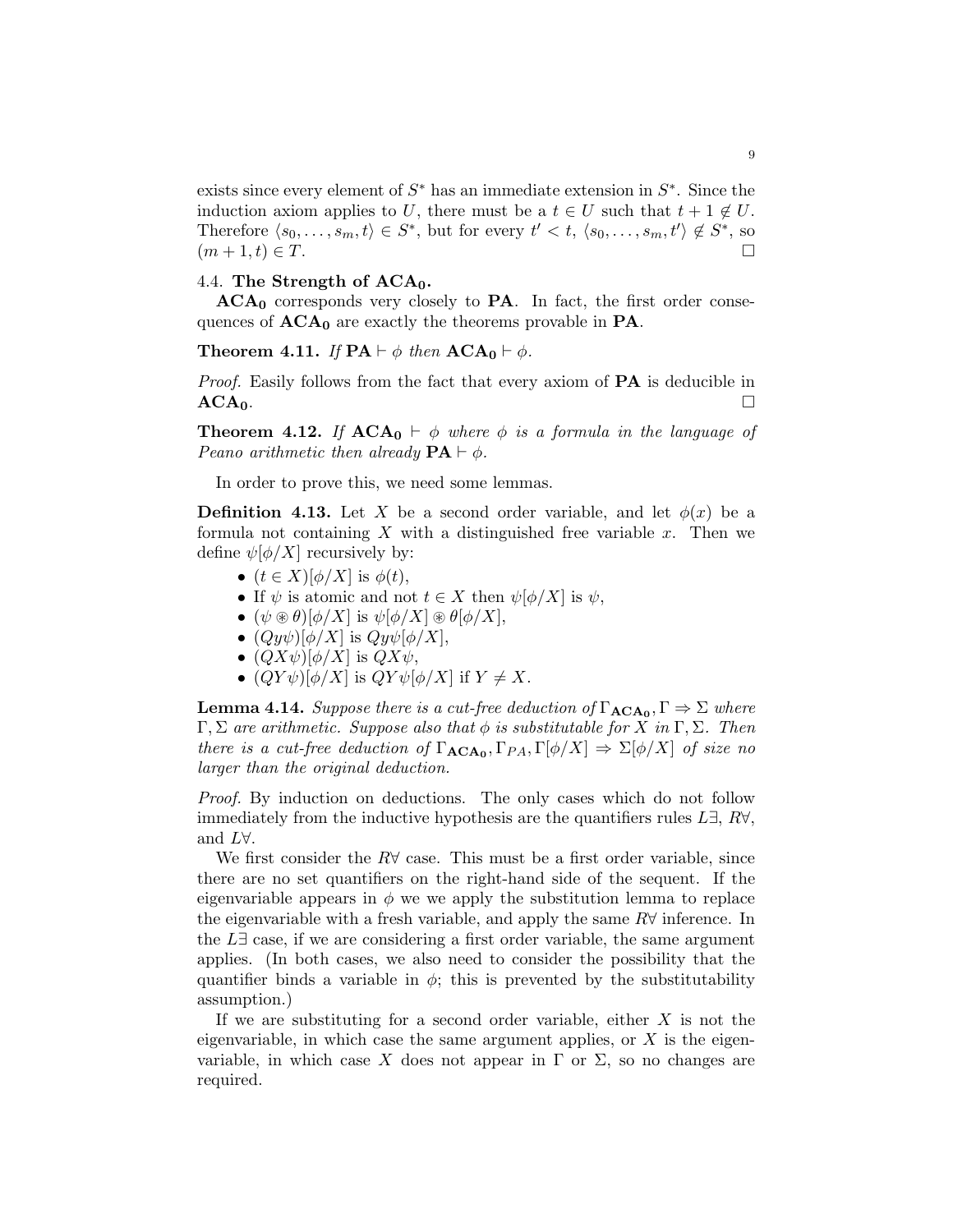exists since every element of  $S^*$  has an immediate extension in  $S^*$ . Since the induction axiom applies to U, there must be a  $t \in U$  such that  $t + 1 \notin U$ . Therefore  $\langle s_0, \ldots, s_m, t \rangle \in S^*$ , but for every  $t' < t$ ,  $\langle s_0, \ldots, s_m, t' \rangle \notin S^*$ , so  $(m+1,t) \in T.$ 

## 4.4. The Strength of  $ACA<sub>0</sub>$ .

 $ACA<sub>0</sub>$  corresponds very closely to **PA**. In fact, the first order consequences of  $ACA_0$  are exactly the theorems provable in PA.

**Theorem 4.11.** If  $PA \vdash \phi$  then  $ACA_0 \vdash \phi$ .

*Proof.* Easily follows from the fact that every axiom of **PA** is deducible in  $ACA_0$ .

<span id="page-8-0"></span>**Theorem 4.12.** If  $ACA_0 \vdash \phi$  where  $\phi$  is a formula in the language of Peano arithmetic then already  $\mathbf{PA} \vdash \phi$ .

In order to prove this, we need some lemmas.

**Definition 4.13.** Let X be a second order variable, and let  $\phi(x)$  be a formula not containing X with a distinguished free variable  $x$ . Then we define  $\psi[\phi/X]$  recursively by:

- $(t \in X)[\phi/X]$  is  $\phi(t)$ ,
- If  $\psi$  is atomic and not  $t \in X$  then  $\psi[\phi/X]$  is  $\psi$ ,
- $(\psi \circledast \theta)[\phi/X]$  is  $\psi[\phi/X] \circledast \theta[\phi/X],$
- $(Qy\psi)[\phi/X]$  is  $Qy\psi[\phi/X]$ ,
- $(QX\psi)[\phi/X]$  is  $QX\psi$ ,
- $(QY\psi)[\phi/X]$  is  $QY\psi[\phi/X]$  if  $Y \neq X$ .

**Lemma 4.14.** Suppose there is a cut-free deduction of  $\Gamma_{\text{ACA}_0}, \Gamma \Rightarrow \Sigma$  where  $\Gamma, \Sigma$  are arithmetic. Suppose also that  $\phi$  is substitutable for X in  $\Gamma, \Sigma$ . Then there is a cut-free deduction of  $\Gamma_{\text{ACA}_0}, \Gamma_{PA}, \Gamma[\phi/X] \Rightarrow \Sigma[\phi/X]$  of size no larger than the original deduction.

Proof. By induction on deductions. The only cases which do not follow immediately from the inductive hypothesis are the quantifiers rules  $L\exists$ ,  $R\forall$ , and L∀.

We first consider the  $R\forall$  case. This must be a first order variable, since there are no set quantifiers on the right-hand side of the sequent. If the eigenvariable appears in  $\phi$  we we apply the substitution lemma to replace the eigenvariable with a fresh variable, and apply the same  $R\forall$  inference. In the  $L\exists$  case, if we are considering a first order variable, the same argument applies. (In both cases, we also need to consider the possibility that the quantifier binds a variable in  $\phi$ ; this is prevented by the substitutability assumption.)

If we are substituting for a second order variable, either  $X$  is not the eigenvariable, in which case the same argument applies, or  $X$  is the eigenvariable, in which case X does not appear in  $\Gamma$  or  $\Sigma$ , so no changes are required.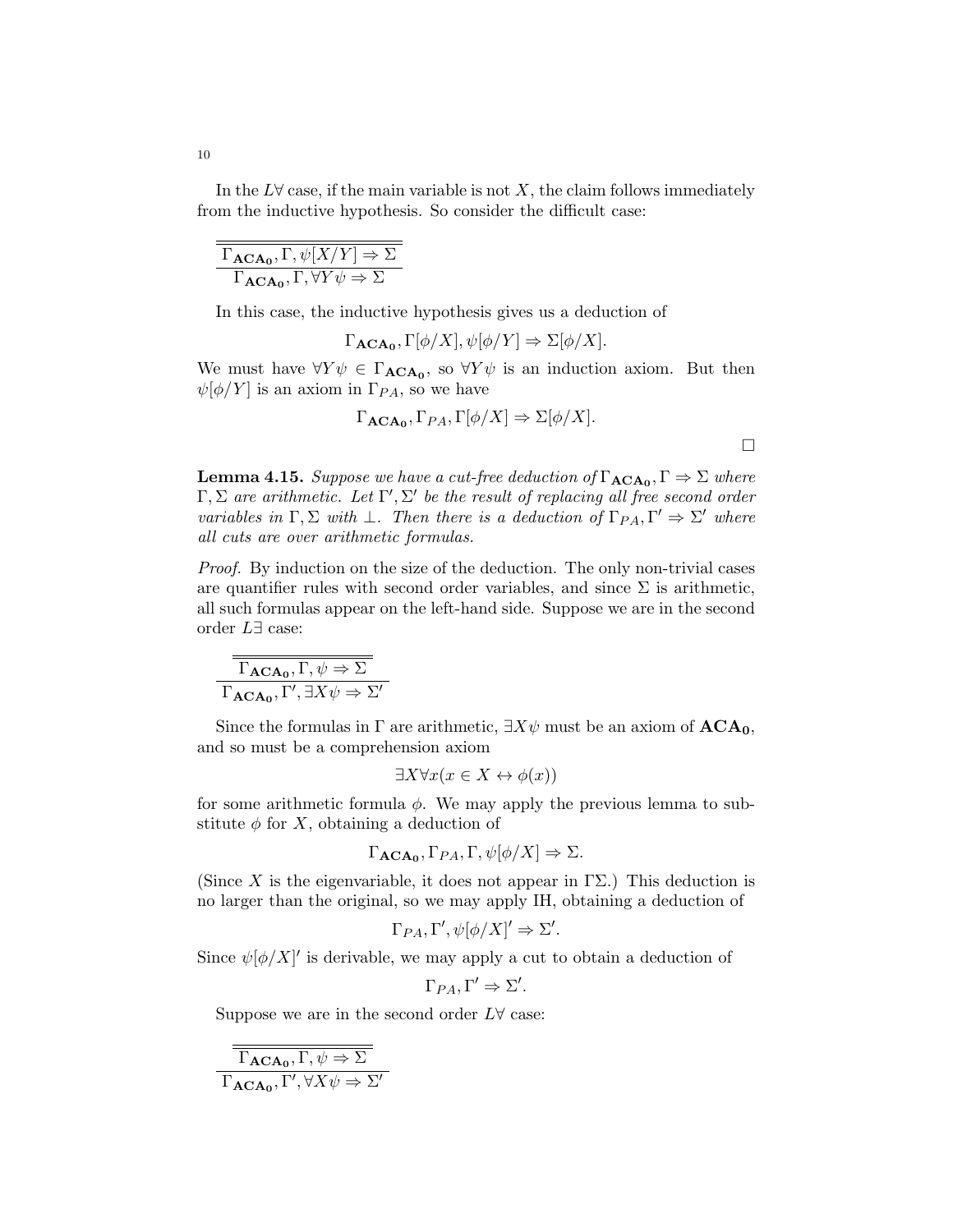In the  $L\forall$  case, if the main variable is not X, the claim follows immediately from the inductive hypothesis. So consider the difficult case:

| $\Gamma_{\text{ACA}_0}, \Gamma, \psi[X/Y] \Rightarrow \Sigma$      |
|--------------------------------------------------------------------|
| $\Gamma_{\text{ACA}_0}, \Gamma, \forall Y \psi \Rightarrow \Sigma$ |

In this case, the inductive hypothesis gives us a deduction of

$$
\Gamma_{\mathbf{ACA_0}}, \Gamma[\phi/X], \psi[\phi/Y] \Rightarrow \Sigma[\phi/X].
$$

We must have  $\forall Y \psi \in \Gamma_{\text{ACA}_0}$ , so  $\forall Y \psi$  is an induction axiom. But then  $\psi[\phi/Y]$  is an axiom in  $\Gamma_{PA}$ , so we have

$$
\Gamma_{\mathbf{ACA_0}}, \Gamma_{PA}, \Gamma[\phi/X] \Rightarrow \Sigma[\phi/X].
$$

 $\Box$ 

**Lemma 4.15.** Suppose we have a cut-free deduction of  $\Gamma_{\text{ACA}_0}, \Gamma \Rightarrow \Sigma$  where  $\Gamma, \Sigma$  are arithmetic. Let  $\Gamma', \Sigma'$  be the result of replacing all free second order variables in  $\Gamma, \Sigma$  with  $\bot$ . Then there is a deduction of  $\Gamma_{PA}, \Gamma' \Rightarrow \Sigma'$  where all cuts are over arithmetic formulas.

Proof. By induction on the size of the deduction. The only non-trivial cases are quantifier rules with second order variables, and since  $\Sigma$  is arithmetic, all such formulas appear on the left-hand side. Suppose we are in the second order L∃ case:

$$
\frac{\Gamma_{\text{ACA}_0}, \Gamma, \psi \Rightarrow \Sigma}{\Gamma_{\text{ACA}_0}, \Gamma', \exists X \psi \Rightarrow \Sigma'}
$$

Since the formulas in  $\Gamma$  are arithmetic,  $\exists X\psi$  must be an axiom of  $\text{ACA}_0$ , and so must be a comprehension axiom

$$
\exists X \forall x (x \in X \leftrightarrow \phi(x))
$$

for some arithmetic formula  $\phi$ . We may apply the previous lemma to substitute  $\phi$  for X, obtaining a deduction of

$$
\Gamma_{\mathbf{ACA_0}}, \Gamma_{PA}, \Gamma, \psi[\phi/X] \Rightarrow \Sigma.
$$

(Since X is the eigenvariable, it does not appear in  $\Gamma\Sigma$ .) This deduction is no larger than the original, so we may apply IH, obtaining a deduction of

$$
\Gamma_{PA}, \Gamma', \psi[\phi/X]' \Rightarrow \Sigma'.
$$

Since  $\psi[\phi/X]'$  is derivable, we may apply a cut to obtain a deduction of

 $\Gamma_{PA}, \Gamma' \Rightarrow \Sigma'.$ 

Suppose we are in the second order  $L \forall$  case:

 $\Gamma_{\textbf{ACA}_0}, \Gamma, \psi \Rightarrow \Sigma$  $\Gamma_{\text{ACA}_0}, \Gamma', \forall X \psi \Rightarrow \Sigma'$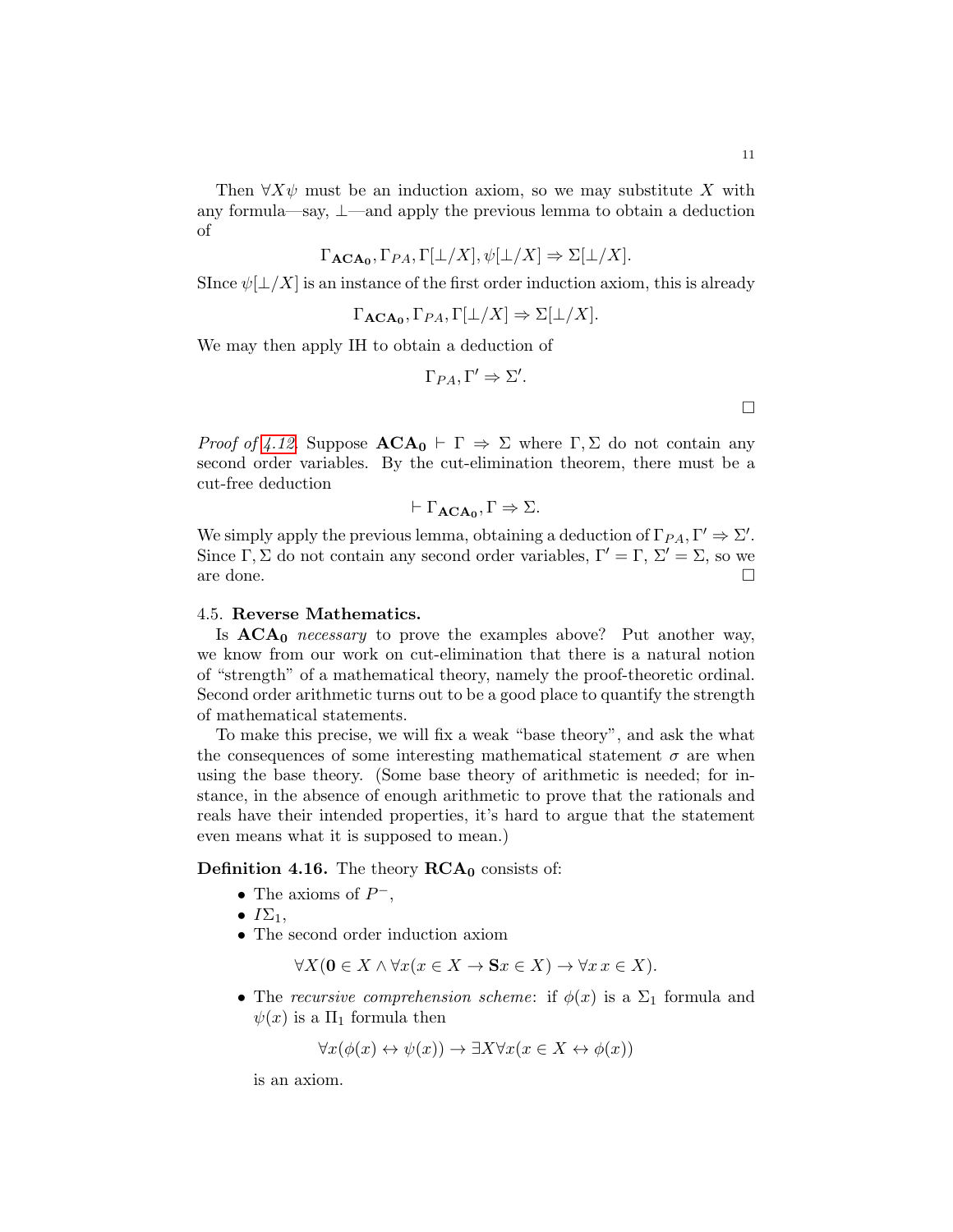Then  $\forall X \psi$  must be an induction axiom, so we may substitute X with any formula—say, ⊥—and apply the previous lemma to obtain a deduction of

$$
\Gamma_{\mathbf{ACA_0}}, \Gamma_{PA}, \Gamma[\bot/X], \psi[\bot/X] \Rightarrow \Sigma[\bot/X].
$$

SInce  $\psi[\perp/X]$  is an instance of the first order induction axiom, this is already

$$
\Gamma_{\mathbf{ACA_0}}, \Gamma_{PA}, \Gamma[\perp/X] \Rightarrow \Sigma[\perp/X].
$$

We may then apply IH to obtain a deduction of

$$
\Gamma_{PA}, \Gamma' \Rightarrow \Sigma'.
$$

*Proof of [4.12.](#page-8-0)* Suppose  $\mathbf{ACA_0} \vdash \Gamma \Rightarrow \Sigma$  where  $\Gamma, \Sigma$  do not contain any second order variables. By the cut-elimination theorem, there must be a cut-free deduction

$$
\vdash \Gamma_{\mathbf{ACA_0}}, \Gamma \Rightarrow \Sigma.
$$

We simply apply the previous lemma, obtaining a deduction of  $\Gamma_{PA}, \Gamma' \Rightarrow \Sigma'.$ Since Γ, Σ do not contain any second order variables,  $\Gamma' = \Gamma$ ,  $\Sigma' = \Sigma$ , so we are done.  $\Box$ 

#### 4.5. Reverse Mathematics.

Is  $ACA_0$  necessary to prove the examples above? Put another way, we know from our work on cut-elimination that there is a natural notion of "strength" of a mathematical theory, namely the proof-theoretic ordinal. Second order arithmetic turns out to be a good place to quantify the strength of mathematical statements.

To make this precise, we will fix a weak "base theory", and ask the what the consequences of some interesting mathematical statement  $\sigma$  are when using the base theory. (Some base theory of arithmetic is needed; for instance, in the absence of enough arithmetic to prove that the rationals and reals have their intended properties, it's hard to argue that the statement even means what it is supposed to mean.)

**Definition 4.16.** The theory  $\mathbf{RCA}_0$  consists of:

- The axioms of  $P^-$ ,
- $I\Sigma_1$ ,
- The second order induction axiom

$$
\forall X (\mathbf{0} \in X \land \forall x (x \in X \to \mathbf{S}x \in X) \to \forall x \, x \in X).
$$

• The recursive comprehension scheme: if  $\phi(x)$  is a  $\Sigma_1$  formula and  $\psi(x)$  is a  $\Pi_1$  formula then

$$
\forall x(\phi(x) \leftrightarrow \psi(x)) \rightarrow \exists X \forall x (x \in X \leftrightarrow \phi(x))
$$

is an axiom.

 $\Box$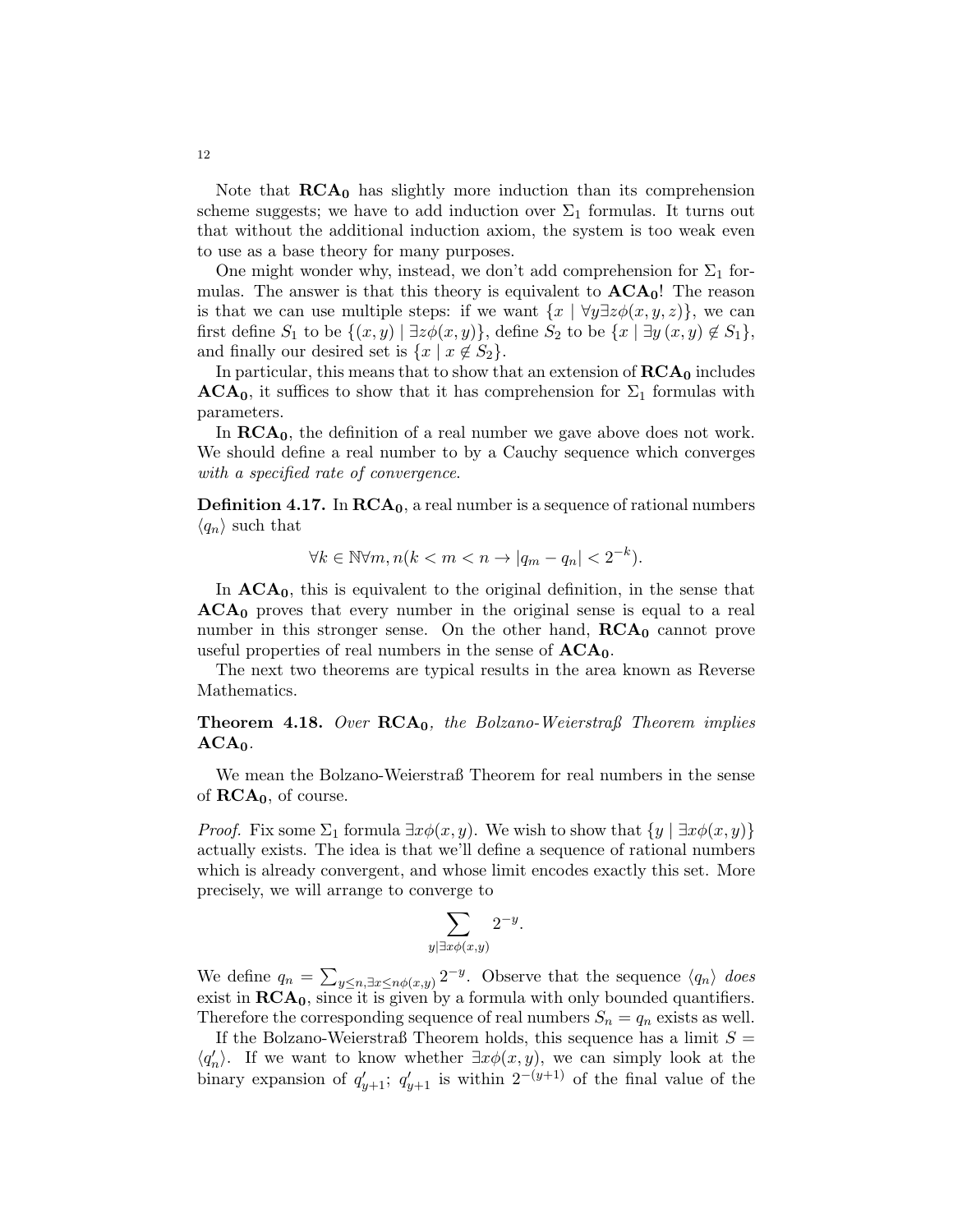Note that  $RCA_0$  has slightly more induction than its comprehension scheme suggests; we have to add induction over  $\Sigma_1$  formulas. It turns out that without the additional induction axiom, the system is too weak even to use as a base theory for many purposes.

One might wonder why, instead, we don't add comprehension for  $\Sigma_1$  formulas. The answer is that this theory is equivalent to  $\mathbf{ACA}_0$ ! The reason is that we can use multiple steps: if we want  $\{x \mid \forall y \exists z \phi(x, y, z)\}\,$  we can first define  $S_1$  to be  $\{(x, y) \mid \exists z \phi(x, y)\}$ , define  $S_2$  to be  $\{x \mid \exists y (x, y) \notin S_1\}$ , and finally our desired set is  $\{x \mid x \notin S_2\}.$ 

In particular, this means that to show that an extension of  $\text{RCA}_0$  includes  $ACA<sub>0</sub>$ , it suffices to show that it has comprehension for  $\Sigma<sub>1</sub>$  formulas with parameters.

In  $\mathbf{RCA}_0$ , the definition of a real number we gave above does not work. We should define a real number to by a Cauchy sequence which converges with a specified rate of convergence.

**Definition 4.17.** In  $RCA_0$ , a real number is a sequence of rational numbers  $\langle q_n \rangle$  such that

$$
\forall k \in \mathbb{N} \forall m, n (k < m < n \to |q_m - q_n| < 2^{-k}).
$$

In  $ACA<sub>0</sub>$ , this is equivalent to the original definition, in the sense that  $ACA<sub>0</sub>$  proves that every number in the original sense is equal to a real number in this stronger sense. On the other hand,  $\mathbf{RCA}_0$  cannot prove useful properties of real numbers in the sense of  $ACA<sub>0</sub>$ .

The next two theorems are typical results in the area known as Reverse Mathematics.

**Theorem 4.18.** Over  $RCA<sub>0</sub>$ , the Bolzano-Weierstraß Theorem implies  $ACA<sub>0</sub>$ .

We mean the Bolzano-Weierstraß Theorem for real numbers in the sense of  $\mathbf{RCA}_0$ , of course.

*Proof.* Fix some  $\Sigma_1$  formula  $\exists x \phi(x, y)$ . We wish to show that  $\{y \mid \exists x \phi(x, y)\}$ actually exists. The idea is that we'll define a sequence of rational numbers which is already convergent, and whose limit encodes exactly this set. More precisely, we will arrange to converge to

$$
\sum_{y|\exists x \phi(x,y)} 2^{-y}
$$

.

We define  $q_n = \sum_{y \leq n, \exists x \leq n \phi(x,y)} 2^{-y}$ . Observe that the sequence  $\langle q_n \rangle$  does exist in  $\mathbf{RCA_0}$ , since it is given by a formula with only bounded quantifiers. Therefore the corresponding sequence of real numbers  $S_n = q_n$  exists as well.

If the Bolzano-Weierstraß Theorem holds, this sequence has a limit  $S =$  $\langle q'_n \rangle$ . If we want to know whether  $\exists x \phi(x, y)$ , we can simply look at the binary expansion of  $q'_{y+1}$ ;  $q'_{y+1}$  is within  $2^{-(y+1)}$  of the final value of the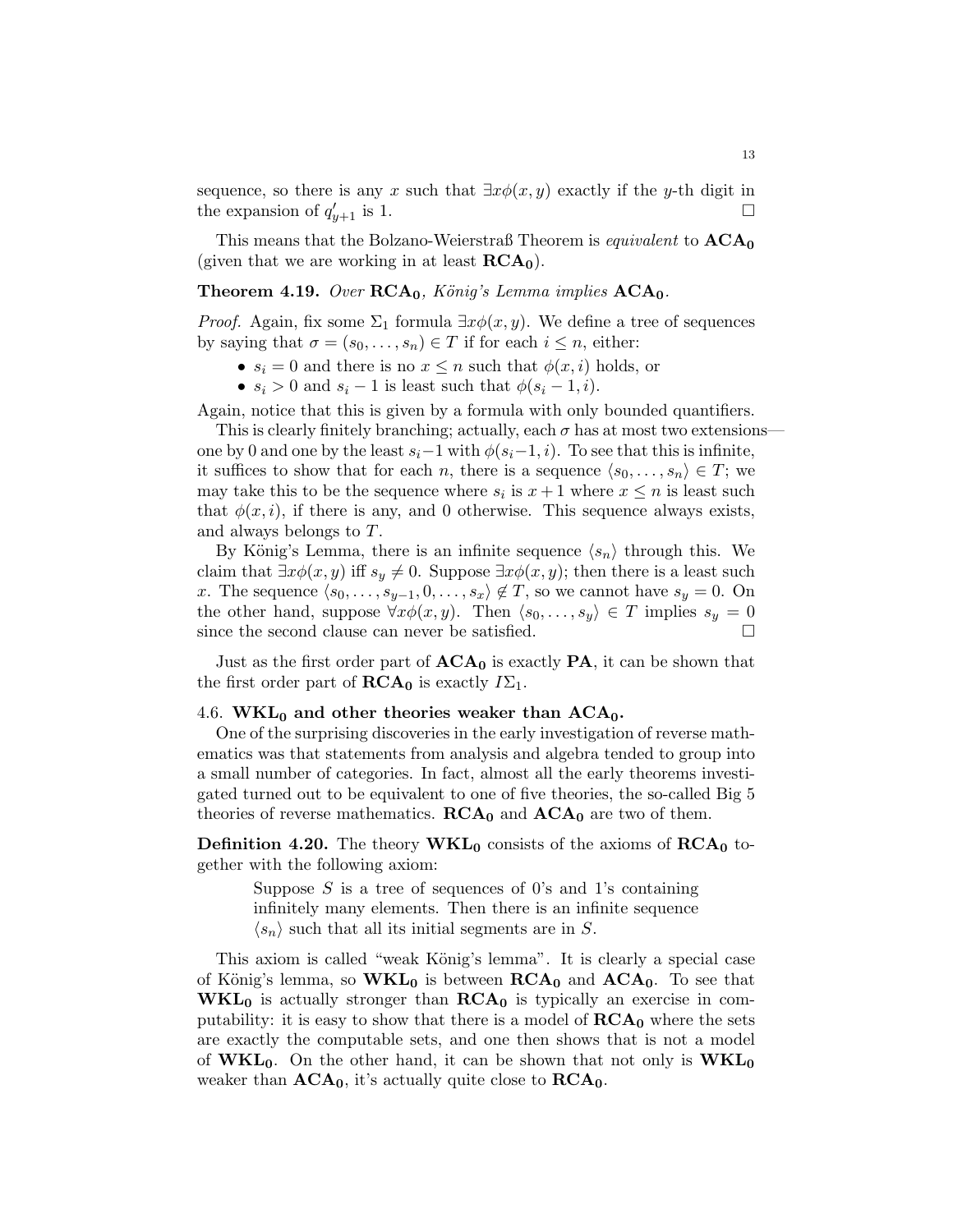sequence, so there is any x such that  $\exists x \phi(x, y)$  exactly if the y-th digit in the expansion of  $q_i'$  $y_{y+1}$  is 1.

This means that the Bolzano-Weierstraß Theorem is *equivalent* to  $ACA_0$ (given that we are working in at least  $\mathbf{RCA}_0$ ).

## **Theorem 4.19.** Over  $RCA_0$ , König's Lemma implies  $ACA_0$ .

*Proof.* Again, fix some  $\Sigma_1$  formula  $\exists x \phi(x, y)$ . We define a tree of sequences by saying that  $\sigma = (s_0, \ldots, s_n) \in T$  if for each  $i \leq n$ , either:

- $s_i = 0$  and there is no  $x \leq n$  such that  $\phi(x, i)$  holds, or
- $s_i > 0$  and  $s_i 1$  is least such that  $\phi(s_i 1, i)$ .

Again, notice that this is given by a formula with only bounded quantifiers.

This is clearly finitely branching; actually, each  $\sigma$  has at most two extensionsone by 0 and one by the least  $s_i-1$  with  $\phi(s_i-1, i)$ . To see that this is infinite, it suffices to show that for each n, there is a sequence  $\langle s_0, \ldots, s_n \rangle \in T$ ; we may take this to be the sequence where  $s_i$  is  $x+1$  where  $x \leq n$  is least such that  $\phi(x, i)$ , if there is any, and 0 otherwise. This sequence always exists, and always belongs to T.

By König's Lemma, there is an infinite sequence  $\langle s_n \rangle$  through this. We claim that  $\exists x \phi(x, y)$  iff  $s_y \neq 0$ . Suppose  $\exists x \phi(x, y)$ ; then there is a least such x. The sequence  $\langle s_0, \ldots, s_{y-1}, 0, \ldots, s_x \rangle \notin T$ , so we cannot have  $s_y = 0$ . On the other hand, suppose  $\forall x \phi(x, y)$ . Then  $\langle s_0, \ldots, s_y \rangle \in T$  implies  $s_y = 0$ since the second clause can never be satisfied.  $\square$ 

Just as the first order part of  $ACA_0$  is exactly  $PA$ , it can be shown that the first order part of  $\mathbf{RCA}_0$  is exactly  $I\Sigma_1$ .

#### 4.6. WKL<sub>0</sub> and other theories weaker than  $ACA_0$ .

One of the surprising discoveries in the early investigation of reverse mathematics was that statements from analysis and algebra tended to group into a small number of categories. In fact, almost all the early theorems investigated turned out to be equivalent to one of five theories, the so-called Big 5 theories of reverse mathematics.  $RCA_0$  and  $ACA_0$  are two of them.

**Definition 4.20.** The theory  $\text{WKL}_0$  consists of the axioms of  $\text{RCA}_0$  together with the following axiom:

> Suppose  $S$  is a tree of sequences of 0's and 1's containing infinitely many elements. Then there is an infinite sequence  $\langle s_n \rangle$  such that all its initial segments are in S.

This axiom is called "weak König's lemma". It is clearly a special case of König's lemma, so  $\text{WKL}_0$  is between  $\text{RCA}_0$  and  $\text{ACA}_0$ . To see that  $WKL_0$  is actually stronger than  $RCA_0$  is typically an exercise in computability: it is easy to show that there is a model of  $\text{RCA}_0$  where the sets are exactly the computable sets, and one then shows that is not a model of  $WKL_0$ . On the other hand, it can be shown that not only is  $WKL_0$ weaker than  $ACA_0$ , it's actually quite close to  $RCA_0$ .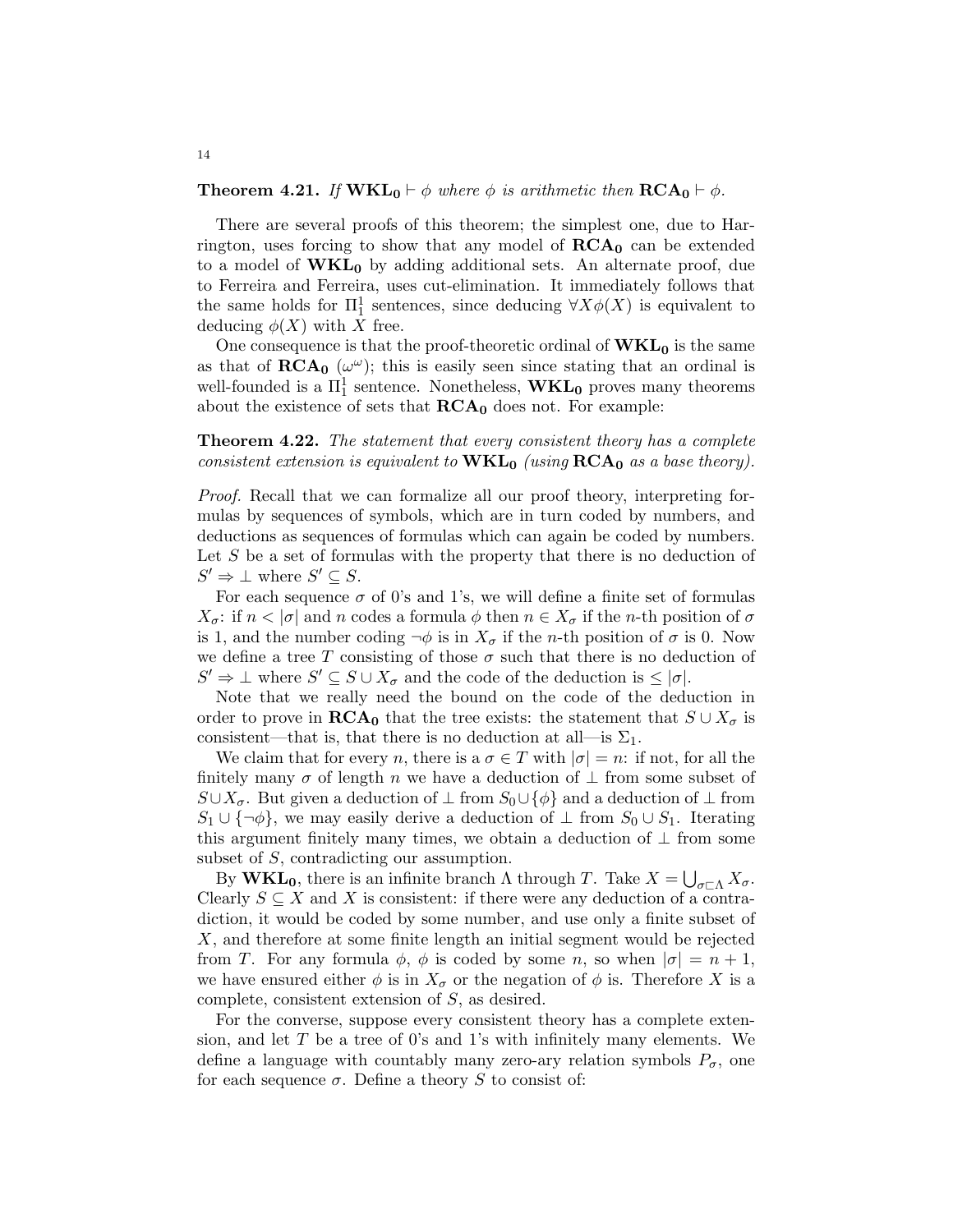## **Theorem 4.21.** If  $\text{WKL}_0 \vdash \phi$  where  $\phi$  is arithmetic then  $\text{RCA}_0 \vdash \phi$ .

There are several proofs of this theorem; the simplest one, due to Harrington, uses forcing to show that any model of  $\mathbf{RCA}_0$  can be extended to a model of  $\mathbf{WKL}_0$  by adding additional sets. An alternate proof, due to Ferreira and Ferreira, uses cut-elimination. It immediately follows that the same holds for  $\Pi_1^1$  sentences, since deducing  $\forall X \phi(X)$  is equivalent to deducing  $\phi(X)$  with X free.

One consequence is that the proof-theoretic ordinal of  $\mathbf{WKL}_0$  is the same as that of  $\mathbf{RCA_0}$  ( $\omega^{\omega}$ ); this is easily seen since stating that an ordinal is well-founded is a  $\Pi^1_1$  sentence. Nonetheless,  $\mathbf{WKL}_0$  proves many theorems about the existence of sets that  $RCA_0$  does not. For example:

# **Theorem 4.22.** The statement that every consistent theory has a complete consistent extension is equivalent to  $\mathbf{WKL}_0$  (using  $\mathbf{RCA}_0$  as a base theory).

Proof. Recall that we can formalize all our proof theory, interpreting formulas by sequences of symbols, which are in turn coded by numbers, and deductions as sequences of formulas which can again be coded by numbers. Let  $S$  be a set of formulas with the property that there is no deduction of  $S' \Rightarrow \bot$  where  $S' \subseteq S$ .

For each sequence  $\sigma$  of 0's and 1's, we will define a finite set of formulas  $X_{\sigma}$ : if  $n < |\sigma|$  and n codes a formula  $\phi$  then  $n \in X_{\sigma}$  if the n-th position of  $\sigma$ is 1, and the number coding  $\neg \phi$  is in  $X_{\sigma}$  if the *n*-th position of  $\sigma$  is 0. Now we define a tree T consisting of those  $\sigma$  such that there is no deduction of  $S' \Rightarrow \bot$  where  $S' \subseteq S \cup X_{\sigma}$  and the code of the deduction is  $\leq |\sigma|$ .

Note that we really need the bound on the code of the deduction in order to prove in  $\mathbf{RCA}_0$  that the tree exists: the statement that  $S \cup X_{\sigma}$  is consistent—that is, that there is no deduction at all—is  $\Sigma_1$ .

We claim that for every n, there is a  $\sigma \in T$  with  $|\sigma| = n$ : if not, for all the finitely many  $\sigma$  of length n we have a deduction of  $\perp$  from some subset of  $S\cup X_{\sigma}$ . But given a deduction of  $\perp$  from  $S_0\cup{\phi}$  and a deduction of  $\perp$  from  $S_1 \cup {\neg \phi}$ , we may easily derive a deduction of  $\bot$  from  $S_0 \cup S_1$ . Iterating this argument finitely many times, we obtain a deduction of  $\perp$  from some subset of S, contradicting our assumption.

By **WKL<sub>0</sub>**, there is an infinite branch  $\Lambda$  through T. Take  $X = \bigcup_{\sigma \subset \Lambda} X_{\sigma}$ . Clearly  $S \subseteq X$  and X is consistent: if there were any deduction of a contradiction, it would be coded by some number, and use only a finite subset of X, and therefore at some finite length an initial segment would be rejected from T. For any formula  $\phi$ ,  $\phi$  is coded by some n, so when  $|\sigma| = n + 1$ , we have ensured either  $\phi$  is in  $X_{\sigma}$  or the negation of  $\phi$  is. Therefore X is a complete, consistent extension of S, as desired.

For the converse, suppose every consistent theory has a complete extension, and let  $T$  be a tree of 0's and 1's with infinitely many elements. We define a language with countably many zero-ary relation symbols  $P_{\sigma}$ , one for each sequence  $\sigma$ . Define a theory S to consist of: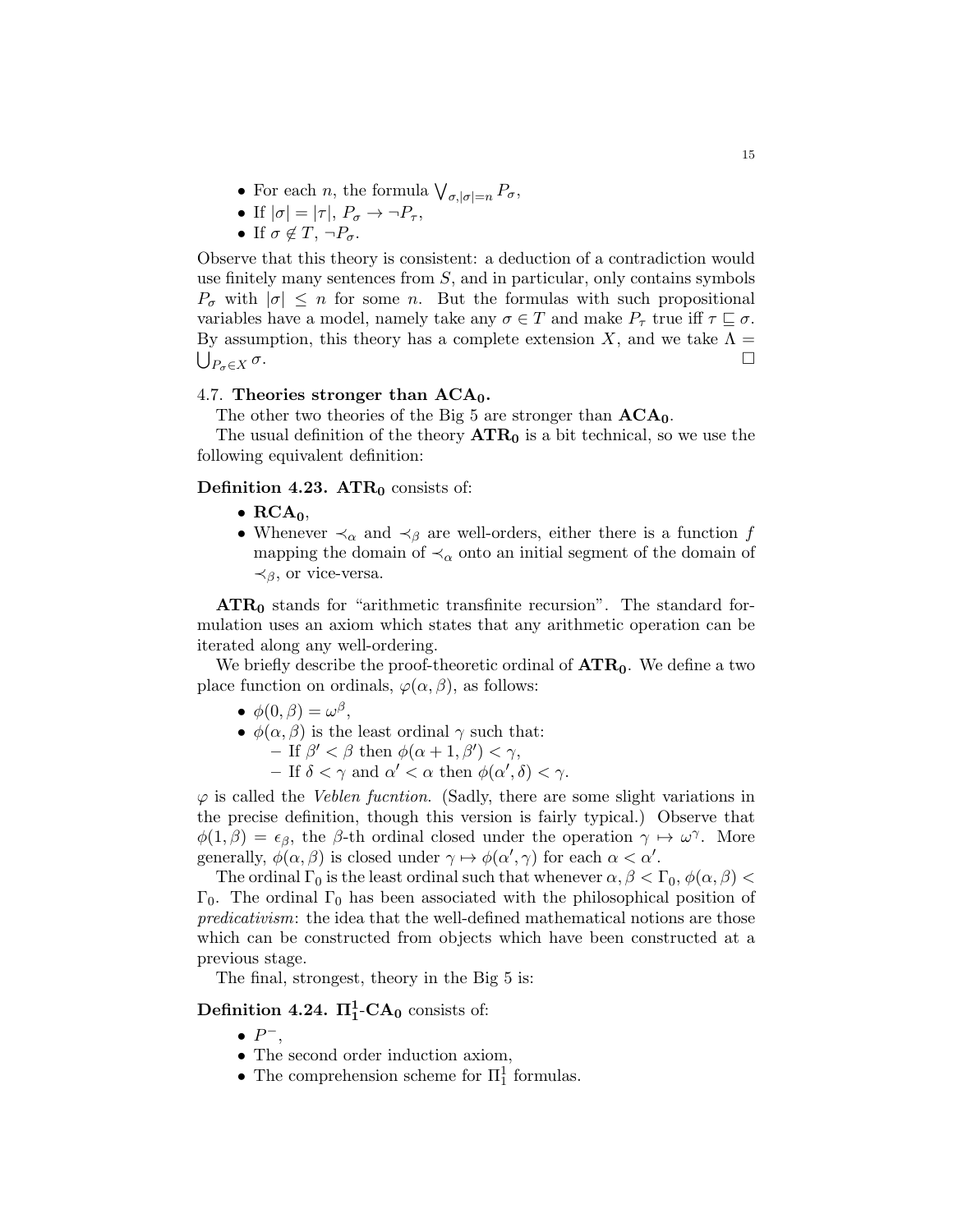- For each *n*, the formula  $\bigvee_{\sigma, |\sigma|=n} P_{\sigma}$ ,
- If  $|\sigma| = |\tau|, P_{\sigma} \rightarrow \neg P_{\tau},$
- If  $\sigma \notin T$ ,  $\neg P_{\sigma}$ .

Observe that this theory is consistent: a deduction of a contradiction would use finitely many sentences from  $S$ , and in particular, only contains symbols  $P_{\sigma}$  with  $|\sigma| \leq n$  for some n. But the formulas with such propositional variables have a model, namely take any  $\sigma \in T$  and make  $P_{\tau}$  true iff  $\tau \subseteq \sigma$ . By assumption, this theory has a complete extension X, and we take  $\Lambda =$  $\bigcup_{P_{\sigma} \in X} \sigma$ .  $P_{\sigma} \in X$  σ.

## 4.7. Theories stronger than  $ACA_0$ .

The other two theories of the Big 5 are stronger than  $ACA_0$ .

The usual definition of the theory  $ATR_0$  is a bit technical, so we use the following equivalent definition:

# Definition 4.23.  $\text{ATR}_0$  consists of:

- $RCA_0$ ,
- Whenever  $\prec_{\alpha}$  and  $\prec_{\beta}$  are well-orders, either there is a function f mapping the domain of  $\prec_{\alpha}$  onto an initial segment of the domain of  $\prec_{\beta}$ , or vice-versa.

 $\text{ATR}_0$  stands for "arithmetic transfinite recursion". The standard formulation uses an axiom which states that any arithmetic operation can be iterated along any well-ordering.

We briefly describe the proof-theoretic ordinal of  $\text{ATR}_0$ . We define a two place function on ordinals,  $\varphi(\alpha, \beta)$ , as follows:

- $\phi(0,\beta) = \omega^{\beta},$
- $\phi(\alpha, \beta)$  is the least ordinal  $\gamma$  such that:
	- $-$  If  $\beta' < \beta$  then  $\phi(\alpha + 1, \beta') < \gamma$ ,
	- If  $\delta < \gamma$  and  $\alpha' < \alpha$  then  $\phi(\alpha', \delta) < \gamma$ .

 $\varphi$  is called the *Veblen fucntion*. (Sadly, there are some slight variations in the precise definition, though this version is fairly typical.) Observe that  $\phi(1,\beta) = \epsilon_{\beta}$ , the  $\beta$ -th ordinal closed under the operation  $\gamma \mapsto \omega^{\gamma}$ . More generally,  $\phi(\alpha, \beta)$  is closed under  $\gamma \mapsto \phi(\alpha', \gamma)$  for each  $\alpha < \alpha'$ .

The ordinal  $\Gamma_0$  is the least ordinal such that whenever  $\alpha, \beta < \Gamma_0$ ,  $\phi(\alpha, \beta) <$  $Γ_0$ . The ordinal  $Γ_0$  has been associated with the philosophical position of predicativism: the idea that the well-defined mathematical notions are those which can be constructed from objects which have been constructed at a previous stage.

The final, strongest, theory in the Big 5 is:

Definition 4.24.  $\Pi_1^1$ -CA<sub>0</sub> consists of:

- $\bullet$   $P^-$ ,
- The second order induction axiom,
- The comprehension scheme for  $\Pi^1_1$  formulas.